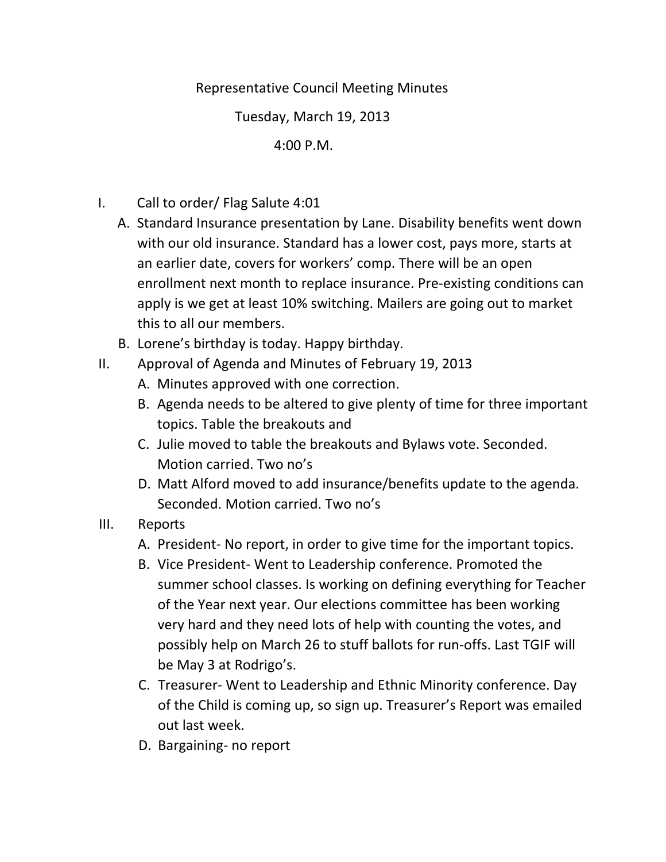## Representative Council Meeting Minutes

Tuesday, March 19, 2013

4:00 P.M.

- I. Call to order/ Flag Salute 4:01
	- A. Standard Insurance presentation by Lane. Disability benefits went down with our old insurance. Standard has a lower cost, pays more, starts at an earlier date, covers for workers' comp. There will be an open enrollment next month to replace insurance. Pre‐existing conditions can apply is we get at least 10% switching. Mailers are going out to market this to all our members.
	- B. Lorene's birthday is today. Happy birthday.
- II. Approval of Agenda and Minutes of February 19, 2013
	- A. Minutes approved with one correction.
	- B. Agenda needs to be altered to give plenty of time for three important topics. Table the breakouts and
	- C. Julie moved to table the breakouts and Bylaws vote. Seconded. Motion carried. Two no's
	- D. Matt Alford moved to add insurance/benefits update to the agenda. Seconded. Motion carried. Two no's
- III. Reports
	- A. President‐ No report, in order to give time for the important topics.
	- B. Vice President‐ Went to Leadership conference. Promoted the summer school classes. Is working on defining everything for Teacher of the Year next year. Our elections committee has been working very hard and they need lots of help with counting the votes, and possibly help on March 26 to stuff ballots for run‐offs. Last TGIF will be May 3 at Rodrigo's.
	- C. Treasurer‐ Went to Leadership and Ethnic Minority conference. Day of the Child is coming up, so sign up. Treasurer's Report was emailed out last week.
	- D. Bargaining‐ no report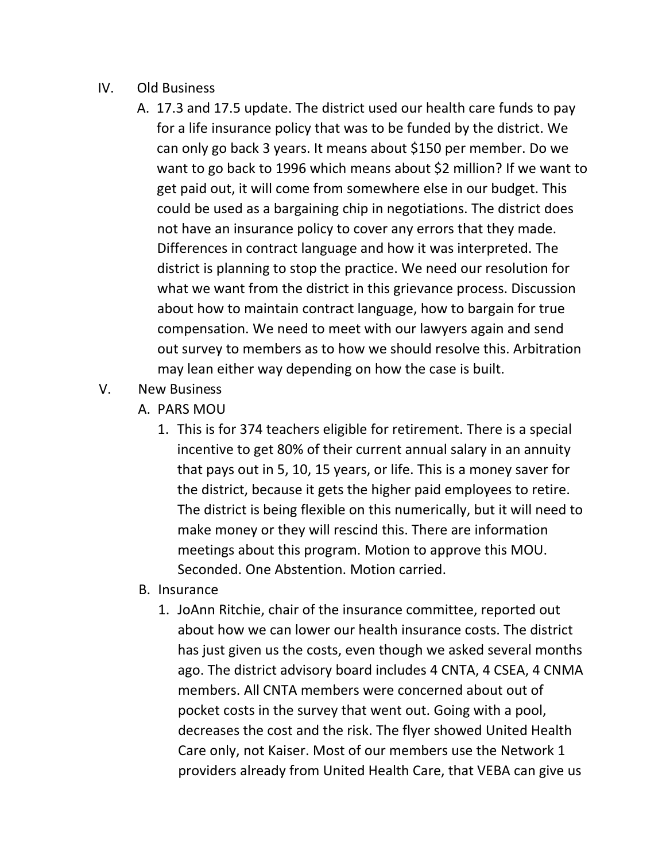## IV. Old Business

- A. 17.3 and 17.5 update. The district used our health care funds to pay for a life insurance policy that was to be funded by the district. We can only go back 3 years. It means about \$150 per member. Do we want to go back to 1996 which means about \$2 million? If we want to get paid out, it will come from somewhere else in our budget. This could be used as a bargaining chip in negotiations. The district does not have an insurance policy to cover any errors that they made. Differences in contract language and how it was interpreted. The district is planning to stop the practice. We need our resolution for what we want from the district in this grievance process. Discussion about how to maintain contract language, how to bargain for true compensation. We need to meet with our lawyers again and send out survey to members as to how we should resolve this. Arbitration may lean either way depending on how the case is built.
- V. New Business
	- A. PARS MOU
		- 1. This is for 374 teachers eligible for retirement. There is a special incentive to get 80% of their current annual salary in an annuity that pays out in 5, 10, 15 years, or life. This is a money saver for the district, because it gets the higher paid employees to retire. The district is being flexible on this numerically, but it will need to make money or they will rescind this. There are information meetings about this program. Motion to approve this MOU. Seconded. One Abstention. Motion carried.
	- B. Insurance
		- 1. JoAnn Ritchie, chair of the insurance committee, reported out about how we can lower our health insurance costs. The district has just given us the costs, even though we asked several months ago. The district advisory board includes 4 CNTA, 4 CSEA, 4 CNMA members. All CNTA members were concerned about out of pocket costs in the survey that went out. Going with a pool, decreases the cost and the risk. The flyer showed United Health Care only, not Kaiser. Most of our members use the Network 1 providers already from United Health Care, that VEBA can give us